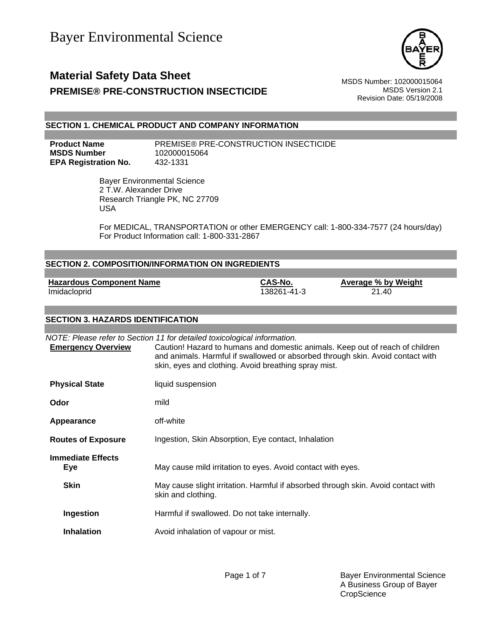

# **Material Safety Data Sheet** MSDS Number: 102000015064 **PREMISE® PRE-CONSTRUCTION INSECTICIDE** MSDS Version 2.1

Revision Date: 05/19/2008

## **SECTION 1. CHEMICAL PRODUCT AND COMPANY INFORMATION**

**MSDS Number** 102000015064 **EPA Registration No.** 432-1331

**Product Name** PREMISE® PRE-CONSTRUCTION INSECTICIDE

 Bayer Environmental Science 2 T.W. Alexander Drive Research Triangle PK, NC 27709 USA

For MEDICAL, TRANSPORTATION or other EMERGENCY call: 1-800-334-7577 (24 hours/day) For Product Information call: 1-800-331-2867

| <b>SECTION 2. COMPOSITION/INFORMATION ON INGREDIENTS</b> |                                                                                                                                                                                                                    |                        |                                                                               |
|----------------------------------------------------------|--------------------------------------------------------------------------------------------------------------------------------------------------------------------------------------------------------------------|------------------------|-------------------------------------------------------------------------------|
| <b>Hazardous Component Name</b><br>Imidacloprid          |                                                                                                                                                                                                                    | CAS-No.<br>138261-41-3 | <b>Average % by Weight</b><br>21.40                                           |
| <b>SECTION 3. HAZARDS IDENTIFICATION</b>                 |                                                                                                                                                                                                                    |                        |                                                                               |
| <b>Emergency Overview</b>                                | NOTE: Please refer to Section 11 for detailed toxicological information.<br>and animals. Harmful if swallowed or absorbed through skin. Avoid contact with<br>skin, eyes and clothing. Avoid breathing spray mist. |                        | Caution! Hazard to humans and domestic animals. Keep out of reach of children |
| <b>Physical State</b>                                    | liquid suspension                                                                                                                                                                                                  |                        |                                                                               |
| Odor                                                     | mild                                                                                                                                                                                                               |                        |                                                                               |
| Appearance                                               | off-white                                                                                                                                                                                                          |                        |                                                                               |
| <b>Routes of Exposure</b>                                | Ingestion, Skin Absorption, Eye contact, Inhalation                                                                                                                                                                |                        |                                                                               |
| <b>Immediate Effects</b><br><b>Eye</b>                   | May cause mild irritation to eyes. Avoid contact with eyes.                                                                                                                                                        |                        |                                                                               |
| <b>Skin</b>                                              | May cause slight irritation. Harmful if absorbed through skin. Avoid contact with<br>skin and clothing.                                                                                                            |                        |                                                                               |
| Ingestion                                                | Harmful if swallowed. Do not take internally.                                                                                                                                                                      |                        |                                                                               |
| <b>Inhalation</b>                                        | Avoid inhalation of vapour or mist.                                                                                                                                                                                |                        |                                                                               |
|                                                          |                                                                                                                                                                                                                    |                        |                                                                               |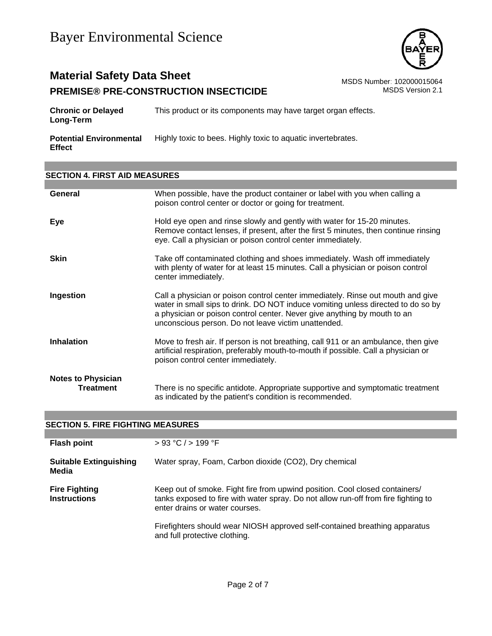

# **Material Safety Data Sheet**<br>**PREMISE® PRE-CONSTRUCTION INSECTICIDE** MSDS Number: 102000015064<br>MSDS Version 2.1 **PREMISE® PRE-CONSTRUCTION INSECTICIDE**

| <b>Chronic or Delayed</b><br>Long-Term          | This product or its components may have target organ effects. |
|-------------------------------------------------|---------------------------------------------------------------|
| <b>Potential Environmental</b><br><b>Effect</b> | Highly toxic to bees. Highly toxic to aquatic invertebrates.  |

## **SECTION 4. FIRST AID MEASURES**

| General                                | When possible, have the product container or label with you when calling a<br>poison control center or doctor or going for treatment.                                                                                                                                                                  |
|----------------------------------------|--------------------------------------------------------------------------------------------------------------------------------------------------------------------------------------------------------------------------------------------------------------------------------------------------------|
| Eye                                    | Hold eye open and rinse slowly and gently with water for 15-20 minutes.<br>Remove contact lenses, if present, after the first 5 minutes, then continue rinsing<br>eye. Call a physician or poison control center immediately.                                                                          |
| <b>Skin</b>                            | Take off contaminated clothing and shoes immediately. Wash off immediately<br>with plenty of water for at least 15 minutes. Call a physician or poison control<br>center immediately.                                                                                                                  |
| Ingestion                              | Call a physician or poison control center immediately. Rinse out mouth and give<br>water in small sips to drink. DO NOT induce vomiting unless directed to do so by<br>a physician or poison control center. Never give anything by mouth to an<br>unconscious person. Do not leave victim unattended. |
| <b>Inhalation</b>                      | Move to fresh air. If person is not breathing, call 911 or an ambulance, then give<br>artificial respiration, preferably mouth-to-mouth if possible. Call a physician or<br>poison control center immediately.                                                                                         |
| <b>Notes to Physician</b><br>Treatment | There is no specific antidote. Appropriate supportive and symptomatic treatment<br>as indicated by the patient's condition is recommended.                                                                                                                                                             |

| <b>SECTION 5. FIRE FIGHTING MEASURES</b>    |                                                                                                                                                                                                                                                                                   |  |
|---------------------------------------------|-----------------------------------------------------------------------------------------------------------------------------------------------------------------------------------------------------------------------------------------------------------------------------------|--|
|                                             |                                                                                                                                                                                                                                                                                   |  |
| <b>Flash point</b>                          | > 93 °C / > 199 °F                                                                                                                                                                                                                                                                |  |
| <b>Suitable Extinguishing</b><br>Media      | Water spray, Foam, Carbon dioxide (CO2), Dry chemical                                                                                                                                                                                                                             |  |
| <b>Fire Fighting</b><br><b>Instructions</b> | Keep out of smoke. Fight fire from upwind position. Cool closed containers/<br>tanks exposed to fire with water spray. Do not allow run-off from fire fighting to<br>enter drains or water courses.<br>Firefighters should wear NIOSH approved self-contained breathing apparatus |  |
|                                             | and full protective clothing.                                                                                                                                                                                                                                                     |  |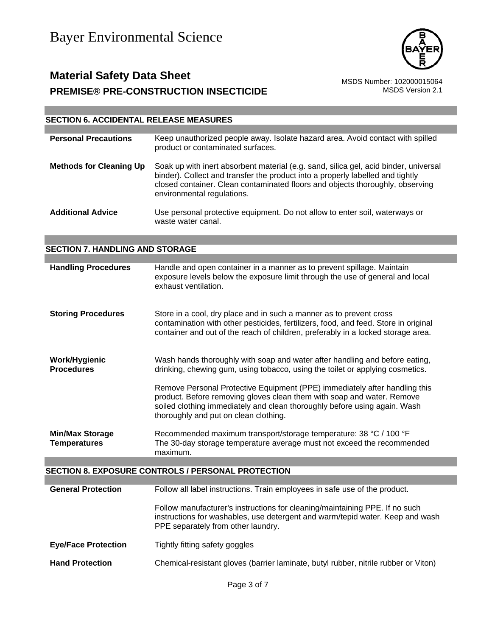

# **Material Safety Data Sheet**<br>PREMISE® PRE-CONSTRUCTION INSECTICIDE<br>MSDS Version 2.1 **PREMISE® PRE-CONSTRUCTION INSECTICIDE**

# **SECTION 6. ACCIDENTAL RELEASE MEASURES**

| <b>Personal Precautions</b>                   | Keep unauthorized people away. Isolate hazard area. Avoid contact with spilled<br>product or contaminated surfaces.                                                                                                                                                                   |
|-----------------------------------------------|---------------------------------------------------------------------------------------------------------------------------------------------------------------------------------------------------------------------------------------------------------------------------------------|
| <b>Methods for Cleaning Up</b>                | Soak up with inert absorbent material (e.g. sand, silica gel, acid binder, universal<br>binder). Collect and transfer the product into a properly labelled and tightly<br>closed container. Clean contaminated floors and objects thoroughly, observing<br>environmental regulations. |
| <b>Additional Advice</b>                      | Use personal protective equipment. Do not allow to enter soil, waterways or<br>waste water canal.                                                                                                                                                                                     |
| <b>SECTION 7. HANDLING AND STORAGE</b>        |                                                                                                                                                                                                                                                                                       |
|                                               |                                                                                                                                                                                                                                                                                       |
| <b>Handling Procedures</b>                    | Handle and open container in a manner as to prevent spillage. Maintain<br>exposure levels below the exposure limit through the use of general and local<br>exhaust ventilation.                                                                                                       |
| <b>Storing Procedures</b>                     | Store in a cool, dry place and in such a manner as to prevent cross<br>contamination with other pesticides, fertilizers, food, and feed. Store in original<br>container and out of the reach of children, preferably in a locked storage area.                                        |
| <b>Work/Hygienic</b><br><b>Procedures</b>     | Wash hands thoroughly with soap and water after handling and before eating,<br>drinking, chewing gum, using tobacco, using the toilet or applying cosmetics.                                                                                                                          |
|                                               | Remove Personal Protective Equipment (PPE) immediately after handling this<br>product. Before removing gloves clean them with soap and water. Remove<br>soiled clothing immediately and clean thoroughly before using again. Wash<br>thoroughly and put on clean clothing.            |
| <b>Min/Max Storage</b><br><b>Temperatures</b> | Recommended maximum transport/storage temperature: 38 °C / 100 °F<br>The 30-day storage temperature average must not exceed the recommended<br>maximum.                                                                                                                               |
|                                               |                                                                                                                                                                                                                                                                                       |
|                                               | <b>SECTION 8. EXPOSURE CONTROLS / PERSONAL PROTECTION</b>                                                                                                                                                                                                                             |
|                                               |                                                                                                                                                                                                                                                                                       |
| <b>General Protection</b>                     | Follow all label instructions. Train employees in safe use of the product.                                                                                                                                                                                                            |
|                                               | Follow manufacturer's instructions for eleganiza/mointaining DDE. If no queb                                                                                                                                                                                                          |

| Follow manufacturer's instructions for cleaning/maintaining PPE. If no such   |
|-------------------------------------------------------------------------------|
| instructions for washables, use detergent and warm/tepid water. Keep and wash |
| PPE separately from other laundry.                                            |
|                                                                               |

- **Eye/Face Protection** Tightly fitting safety goggles
- **Hand Protection** Chemical-resistant gloves (barrier laminate, butyl rubber, nitrile rubber or Viton)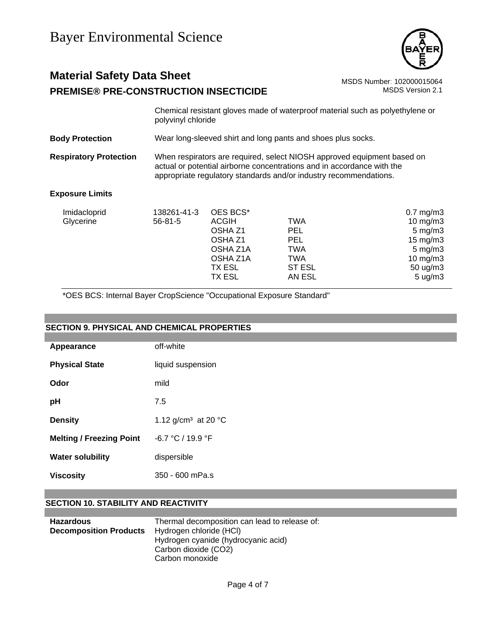

# **Material Safety Data Sheet** MSDS Number: 102000015064 **PREMISE® PRE-CONSTRUCTION INSECTICIDE** MSDS Version 2.1

Chemical resistant gloves made of waterproof material such as polyethylene or polyvinyl chloride

**Body Protection** Wear long-sleeved shirt and long pants and shoes plus socks.

**Respiratory Protection** When respirators are required, select NIOSH approved equipment based on actual or potential airborne concentrations and in accordance with the appropriate regulatory standards and/or industry recommendations.

## **Exposure Limits**

| 10 mg/m $3$         |
|---------------------|
|                     |
| $5 \text{ mg/m}$ 3  |
| $15 \text{ mg/m}$   |
| $5 \text{ mg/m}$ 3  |
| 10 $mg/m3$          |
| $50 \text{ ug/m}$ 3 |
| $5 \text{ ug/m}$ 3  |
|                     |

\*OES BCS: Internal Bayer CropScience "Occupational Exposure Standard"

# **SECTION 9. PHYSICAL AND CHEMICAL PROPERTIES**

| Appearance                      | off-white                                 |
|---------------------------------|-------------------------------------------|
| <b>Physical State</b>           | liquid suspension                         |
| Odor                            | mild                                      |
| рH                              | 7.5                                       |
| <b>Density</b>                  | 1.12 g/cm <sup>3</sup> at 20 $^{\circ}$ C |
| <b>Melting / Freezing Point</b> | $-6.7 °C / 19.9 °F$                       |
| <b>Water solubility</b>         | dispersible                               |
| Viscosity                       | 350 - 600 mPa.s                           |

# **SECTION 10. STABILITY AND REACTIVITY**

| <b>Hazardous</b>              | Thermal decomposition can lead to release of: |
|-------------------------------|-----------------------------------------------|
| <b>Decomposition Products</b> | Hydrogen chloride (HCI)                       |
|                               | Hydrogen cyanide (hydrocyanic acid)           |
|                               | Carbon dioxide (CO2)                          |
|                               | Carbon monoxide                               |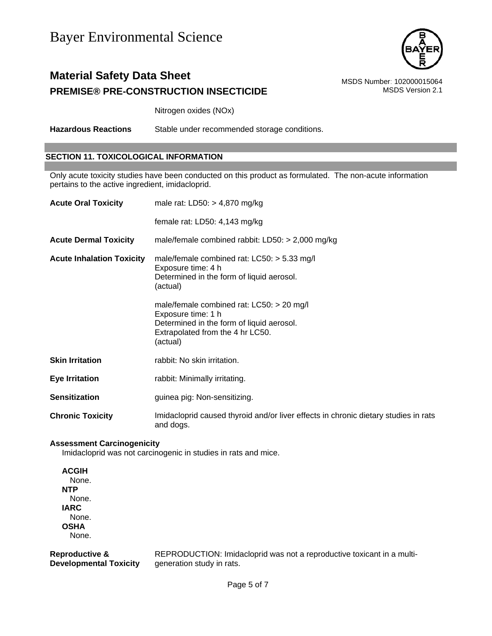

# **Material Safety Data Sheet** MSDS Number: 102000015064 **PREMISE® PRE-CONSTRUCTION INSECTICIDE** MSDS Version 2.1

Nitrogen oxides (NOx)

**Hazardous Reactions** Stable under recommended storage conditions.

## **SECTION 11. TOXICOLOGICAL INFORMATION**

Only acute toxicity studies have been conducted on this product as formulated. The non-acute information pertains to the active ingredient, imidacloprid.

| <b>Acute Oral Toxicity</b>       | male rat: $LD50: > 4,870$ mg/kg                                                                                                                                |
|----------------------------------|----------------------------------------------------------------------------------------------------------------------------------------------------------------|
|                                  | female rat: LD50: 4,143 mg/kg                                                                                                                                  |
| <b>Acute Dermal Toxicity</b>     | male/female combined rabbit: $LD50: > 2,000$ mg/kg                                                                                                             |
| <b>Acute Inhalation Toxicity</b> | male/female combined rat: $LCS0:$ > 5.33 mg/l<br>Exposure time: 4 h<br>Determined in the form of liquid aerosol.<br>(actual)                                   |
|                                  | male/female combined rat: $LCS0:$ > 20 mg/l<br>Exposure time: 1 h<br>Determined in the form of liquid aerosol.<br>Extrapolated from the 4 hr LC50.<br>(actual) |
| <b>Skin Irritation</b>           | rabbit: No skin irritation.                                                                                                                                    |
| <b>Eye Irritation</b>            | rabbit: Minimally irritating.                                                                                                                                  |
| <b>Sensitization</b>             | guinea pig: Non-sensitizing.                                                                                                                                   |
| <b>Chronic Toxicity</b>          | Imidacloprid caused thyroid and/or liver effects in chronic dietary studies in rats<br>and dogs.                                                               |

#### **Assessment Carcinogenicity**

Imidacloprid was not carcinogenic in studies in rats and mice.

**ACGIH** None. **NTP** None. **IARC** None. **OSHA** None.

**Reproductive & Developmental Toxicity** REPRODUCTION: Imidacloprid was not a reproductive toxicant in a multigeneration study in rats.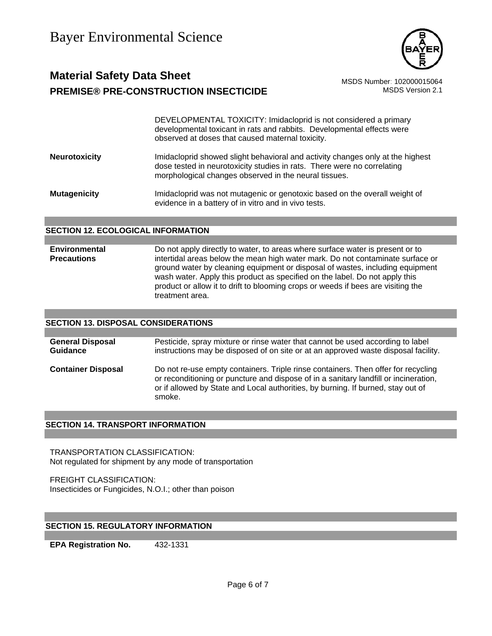

# **Material Safety Data Sheet** Material Safety Data Sheet MSDS Number: 102000015064 **PREMISE® PRE-CONSTRUCTION INSECTICIDE** MSDS Version 2.1

DEVELOPMENTAL TOXICITY: Imidacloprid is not considered a primary developmental toxicant in rats and rabbits. Developmental effects were observed at doses that caused maternal toxicity.

**Neurotoxicity** Imidacloprid showed slight behavioral and activity changes only at the highest dose tested in neurotoxicity studies in rats. There were no correlating morphological changes observed in the neural tissues.

**Mutagenicity** Imidacloprid was not mutagenic or genotoxic based on the overall weight of evidence in a battery of in vitro and in vivo tests.

## **SECTION 12. ECOLOGICAL INFORMATION**

**Environmental Precautions**  Do not apply directly to water, to areas where surface water is present or to intertidal areas below the mean high water mark. Do not contaminate surface or ground water by cleaning equipment or disposal of wastes, including equipment wash water. Apply this product as specified on the label. Do not apply this product or allow it to drift to blooming crops or weeds if bees are visiting the treatment area.

## **SECTION 13. DISPOSAL CONSIDERATIONS**

| <b>General Disposal</b>   | Pesticide, spray mixture or rinse water that cannot be used according to label                                                                                                                                                                                          |
|---------------------------|-------------------------------------------------------------------------------------------------------------------------------------------------------------------------------------------------------------------------------------------------------------------------|
| <b>Guidance</b>           | instructions may be disposed of on site or at an approved waste disposal facility.                                                                                                                                                                                      |
| <b>Container Disposal</b> | Do not re-use empty containers. Triple rinse containers. Then offer for recycling<br>or reconditioning or puncture and dispose of in a sanitary landfill or incineration,<br>or if allowed by State and Local authorities, by burning. If burned, stay out of<br>smoke. |

## **SECTION 14. TRANSPORT INFORMATION**

TRANSPORTATION CLASSIFICATION: Not regulated for shipment by any mode of transportation

FREIGHT CLASSIFICATION: Insecticides or Fungicides, N.O.I.; other than poison

# **SECTION 15. REGULATORY INFORMATION**

**EPA Registration No.** 432-1331